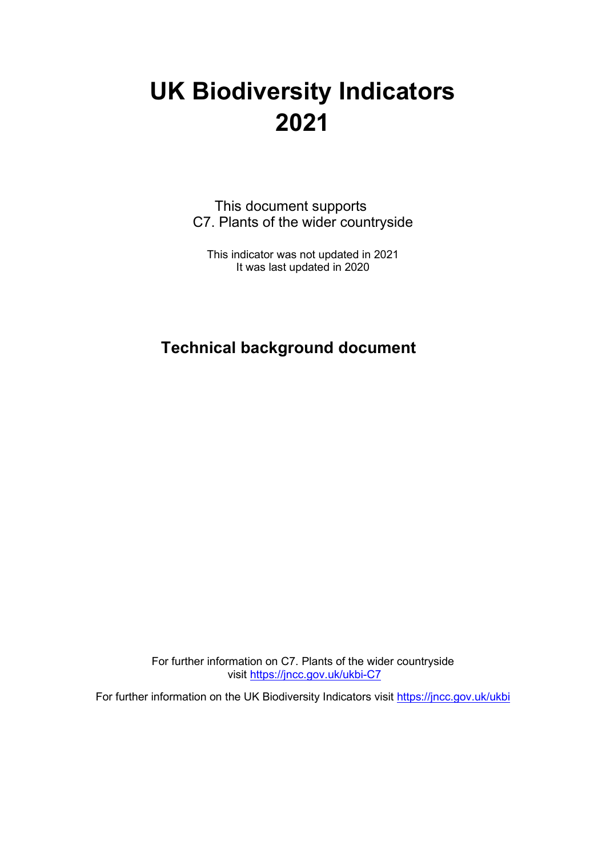# **UK Biodiversity Indicators 2021**

This document supports C7. Plants of the wider countryside

This indicator was not updated in 2021 It was last updated in 2020

## **Technical background document**

For further information on C7. Plants of the wider countryside visit<https://jncc.gov.uk/ukbi-C7>

For further information on the UK Biodiversity Indicators visit <https://jncc.gov.uk/ukbi>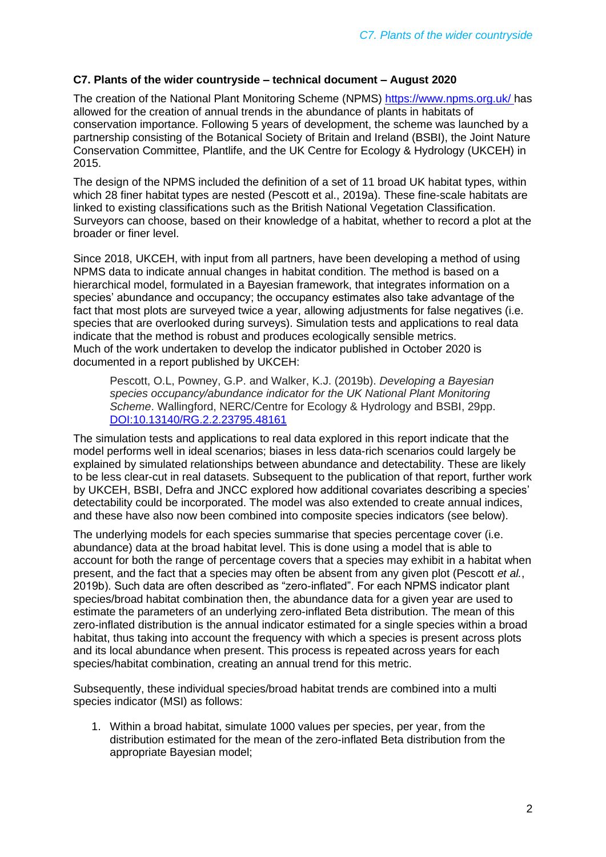#### **C7. Plants of the wider countryside – technical document – August 2020**

The creation of the National Plant Monitoring Scheme (NPMS) <https://www.npms.org.uk/> has allowed for the creation of annual trends in the abundance of plants in habitats of conservation importance. Following 5 years of development, the scheme was launched by a partnership consisting of the Botanical Society of Britain and Ireland (BSBI), the Joint Nature Conservation Committee, Plantlife, and the UK Centre for Ecology & Hydrology (UKCEH) in 2015.

The design of the NPMS included the definition of a set of 11 broad UK habitat types, within which 28 finer habitat types are nested (Pescott et al., 2019a). These fine-scale habitats are linked to existing classifications such as the British National Vegetation Classification. Surveyors can choose, based on their knowledge of a habitat, whether to record a plot at the broader or finer level.

Since 2018, UKCEH, with input from all partners, have been developing a method of using NPMS data to indicate annual changes in habitat condition. The method is based on a hierarchical model, formulated in a Bayesian framework, that integrates information on a species' abundance and occupancy; the occupancy estimates also take advantage of the fact that most plots are surveyed twice a year, allowing adjustments for false negatives (i.e. species that are overlooked during surveys). Simulation tests and applications to real data indicate that the method is robust and produces ecologically sensible metrics. Much of the work undertaken to develop the indicator published in October 2020 is documented in a report published by UKCEH:

Pescott, O.L, Powney, G.P. and Walker, K.J. (2019b). *Developing a Bayesian species occupancy/abundance indicator for the UK National Plant Monitoring Scheme*. Wallingford, NERC/Centre for Ecology & Hydrology and BSBI, 29pp. [DOI:10.13140/RG.2.2.23795.48161](https://www.researchgate.net/deref/http%3A%2F%2Fdx.doi.org%2F10.13140%2FRG.2.2.23795.48161)

The simulation tests and applications to real data explored in this report indicate that the model performs well in ideal scenarios; biases in less data-rich scenarios could largely be explained by simulated relationships between abundance and detectability. These are likely to be less clear-cut in real datasets. Subsequent to the publication of that report, further work by UKCEH, BSBI, Defra and JNCC explored how additional covariates describing a species' detectability could be incorporated. The model was also extended to create annual indices, and these have also now been combined into composite species indicators (see below).

The underlying models for each species summarise that species percentage cover (i.e. abundance) data at the broad habitat level. This is done using a model that is able to account for both the range of percentage covers that a species may exhibit in a habitat when present, and the fact that a species may often be absent from any given plot (Pescott *et al.*, 2019b). Such data are often described as "zero-inflated". For each NPMS indicator plant species/broad habitat combination then, the abundance data for a given year are used to estimate the parameters of an underlying zero-inflated Beta distribution. The mean of this zero-inflated distribution is the annual indicator estimated for a single species within a broad habitat, thus taking into account the frequency with which a species is present across plots and its local abundance when present. This process is repeated across years for each species/habitat combination, creating an annual trend for this metric.

Subsequently, these individual species/broad habitat trends are combined into a multi species indicator (MSI) as follows:

1. Within a broad habitat, simulate 1000 values per species, per year, from the distribution estimated for the mean of the zero-inflated Beta distribution from the appropriate Bayesian model;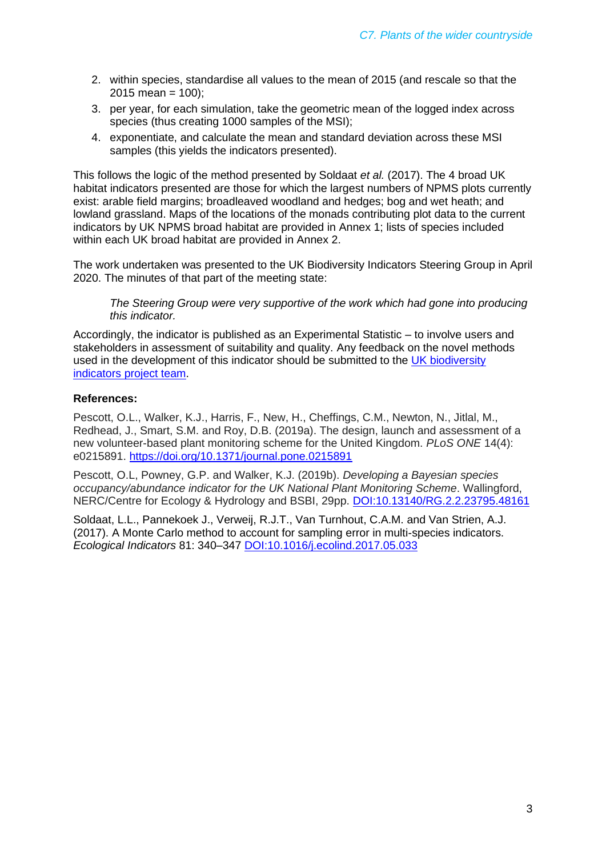- 2. within species, standardise all values to the mean of 2015 (and rescale so that the  $2015$  mean = 100);
- 3. per year, for each simulation, take the geometric mean of the logged index across species (thus creating 1000 samples of the MSI);
- 4. exponentiate, and calculate the mean and standard deviation across these MSI samples (this yields the indicators presented).

This follows the logic of the method presented by Soldaat *et al.* (2017). The 4 broad UK habitat indicators presented are those for which the largest numbers of NPMS plots currently exist: arable field margins; broadleaved woodland and hedges; bog and wet heath; and lowland grassland. Maps of the locations of the monads contributing plot data to the current indicators by UK NPMS broad habitat are provided in Annex 1; lists of species included within each UK broad habitat are provided in Annex 2.

The work undertaken was presented to the UK Biodiversity Indicators Steering Group in April 2020. The minutes of that part of the meeting state:

*The Steering Group were very supportive of the work which had gone into producing this indicator.*

Accordingly, the indicator is published as an Experimental Statistic – to involve users and stakeholders in assessment of suitability and quality. Any feedback on the novel methods used in the development of this indicator should be submitted to the [UK biodiversity](mailto:enviro.statistics@defra.gov.uk)  [indicators project team.](mailto:enviro.statistics@defra.gov.uk)

#### **References:**

Pescott, O.L., Walker, K.J., Harris, F., New, H., Cheffings, C.M., Newton, N., Jitlal, M., Redhead, J., Smart, S.M. and Roy, D.B. (2019a). The design, launch and assessment of a new volunteer-based plant monitoring scheme for the United Kingdom. *PLoS ONE* 14(4): e0215891.<https://doi.org/10.1371/journal.pone.0215891>

Pescott, O.L, Powney, G.P. and Walker, K.J. (2019b). *Developing a Bayesian species occupancy/abundance indicator for the UK National Plant Monitoring Scheme*. Wallingford, NERC/Centre for Ecology & Hydrology and BSBI, 29pp. [DOI:10.13140/RG.2.2.23795.48161](https://www.researchgate.net/deref/http%3A%2F%2Fdx.doi.org%2F10.13140%2FRG.2.2.23795.48161)

Soldaat, L.L., Pannekoek J., Verweij, R.J.T., Van Turnhout, C.A.M. and Van Strien, A.J. (2017). A Monte Carlo method to account for sampling error in multi-species indicators. *Ecological Indicators* 81: 340–347 [DOI:10.1016/j.ecolind.2017.05.033](https://www.sciencedirect.com/science/article/abs/pii/S1470160X17302881)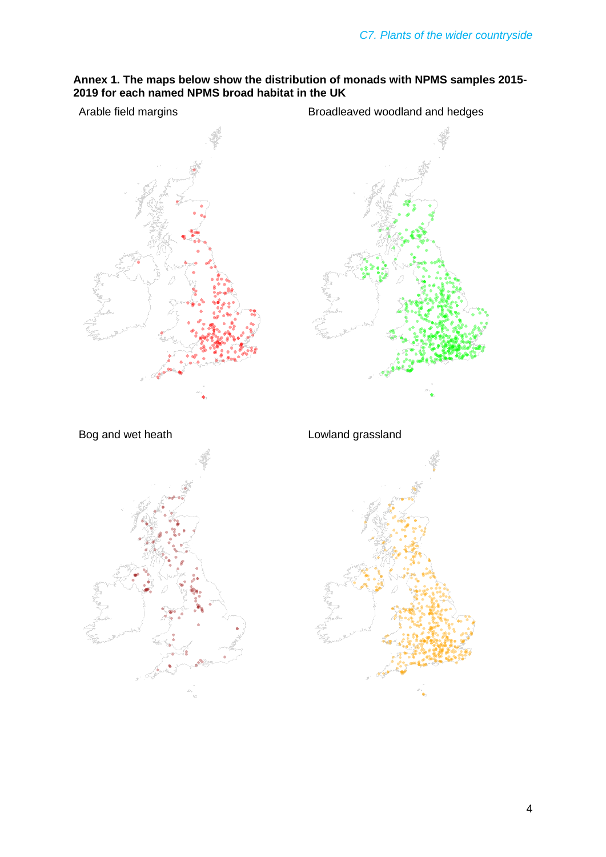#### **Annex 1. The maps below show the distribution of monads with NPMS samples 2015- 2019 for each named NPMS broad habitat in the UK**

Arable field margins **Broadleaved woodland and hedges** 

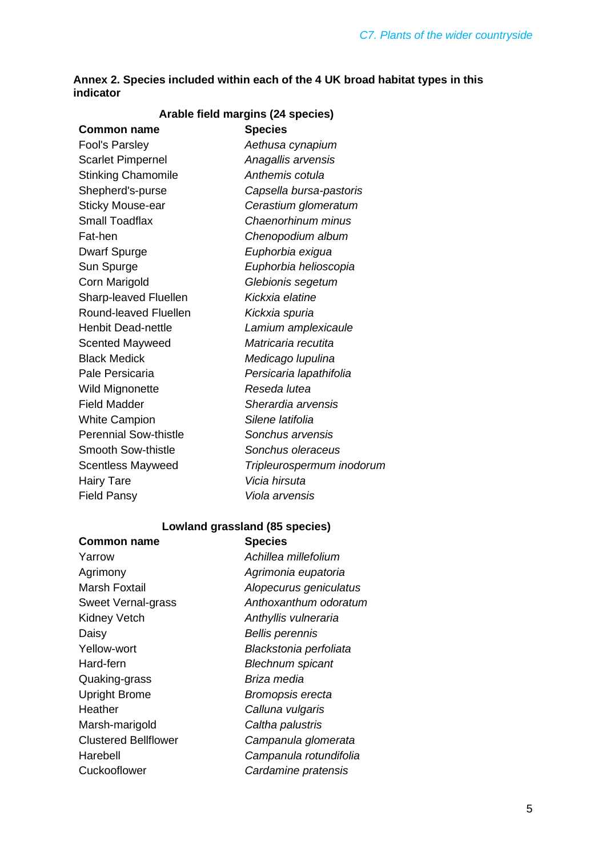| Annex 2. Species included within each of the 4 UK broad habitat types in this |  |
|-------------------------------------------------------------------------------|--|
| indicator                                                                     |  |

| Arable field margins (24 species) |                           |  |
|-----------------------------------|---------------------------|--|
| <b>Common name</b>                | <b>Species</b>            |  |
| <b>Fool's Parsley</b>             | Aethusa cynapium          |  |
| <b>Scarlet Pimpernel</b>          | Anagallis arvensis        |  |
| <b>Stinking Chamomile</b>         | Anthemis cotula           |  |
| Shepherd's-purse                  | Capsella bursa-pastoris   |  |
| <b>Sticky Mouse-ear</b>           | Cerastium glomeratum      |  |
| <b>Small Toadflax</b>             | Chaenorhinum minus        |  |
| Fat-hen                           | Chenopodium album         |  |
| <b>Dwarf Spurge</b>               | Euphorbia exigua          |  |
| Sun Spurge                        | Euphorbia helioscopia     |  |
| Corn Marigold                     | Glebionis segetum         |  |
| Sharp-leaved Fluellen             | Kickxia elatine           |  |
| Round-leaved Fluellen             | Kickxia spuria            |  |
| Henbit Dead-nettle                | Lamium amplexicaule       |  |
| <b>Scented Mayweed</b>            | Matricaria recutita       |  |
| <b>Black Medick</b>               | Medicago lupulina         |  |
| Pale Persicaria                   | Persicaria lapathifolia   |  |
| <b>Wild Mignonette</b>            | Reseda lutea              |  |
| <b>Field Madder</b>               | Sherardia arvensis        |  |
| <b>White Campion</b>              | Silene latifolia          |  |
| <b>Perennial Sow-thistle</b>      | Sonchus arvensis          |  |
| <b>Smooth Sow-thistle</b>         | Sonchus oleraceus         |  |
| <b>Scentless Mayweed</b>          | Tripleurospermum inodorum |  |
| <b>Hairy Tare</b>                 | Vicia hirsuta             |  |
| <b>Field Pansy</b>                | Viola arvensis            |  |
|                                   |                           |  |

#### **Lowland grassland (85 species)**

| <b>Species</b>          |
|-------------------------|
| Achillea millefolium    |
| Agrimonia eupatoria     |
| Alopecurus geniculatus  |
| Anthoxanthum odoratum   |
| Anthyllis vulneraria    |
| <b>Bellis perennis</b>  |
| Blackstonia perfoliata  |
| <b>Blechnum spicant</b> |
| Briza media             |
| Bromopsis erecta        |
| Calluna vulgaris        |
| Caltha palustris        |
| Campanula glomerata     |
| Campanula rotundifolia  |
| Cardamine pratensis     |
|                         |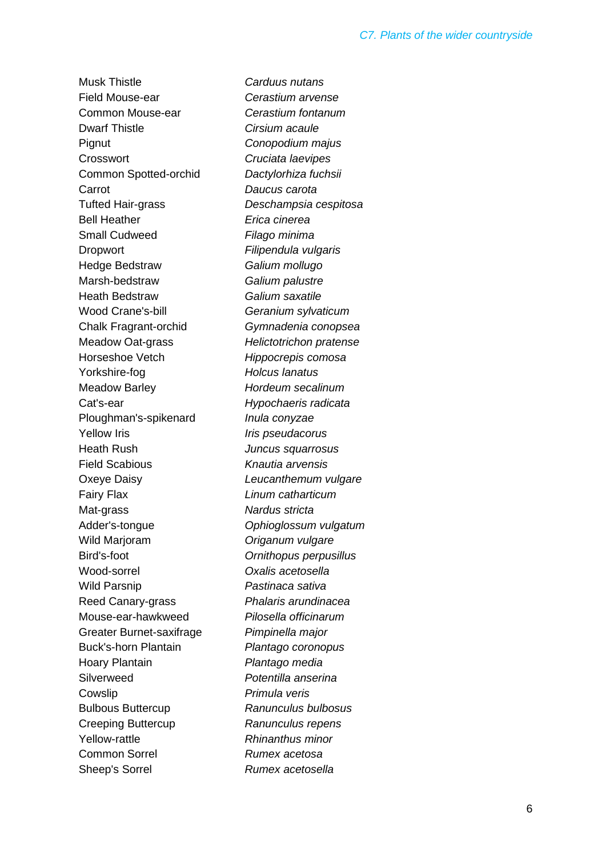Musk Thistle *Carduus nutans* Field Mouse-ear *Cerastium arvense* Common Mouse-ear *Cerastium fontanum* Dwarf Thistle *Cirsium acaule* Pignut *Conopodium majus* Crosswort *Cruciata laevipes* Common Spotted-orchid *Dactylorhiza fuchsii* Carrot *Daucus carota* Tufted Hair-grass *Deschampsia cespitosa* Bell Heather *Erica cinerea* Small Cudweed *Filago minima* Dropwort *Filipendula vulgaris* Hedge Bedstraw *Galium mollugo* Marsh-bedstraw *Galium palustre* Heath Bedstraw *Galium saxatile* Wood Crane's-bill *Geranium sylvaticum* Chalk Fragrant-orchid *Gymnadenia conopsea* Meadow Oat-grass *Helictotrichon pratense* Horseshoe Vetch *Hippocrepis comosa* Yorkshire-fog *Holcus lanatus* Meadow Barley *Hordeum secalinum* Cat's-ear *Hypochaeris radicata* Ploughman's-spikenard *Inula conyzae* Yellow Iris *Iris pseudacorus* Heath Rush *Juncus squarrosus* Field Scabious *Knautia arvensis* Oxeye Daisy *Leucanthemum vulgare* Fairy Flax *Linum catharticum* Mat-grass *Nardus stricta* Adder's-tongue *Ophioglossum vulgatum* Wild Marjoram *Origanum vulgare* Bird's-foot *Ornithopus perpusillus* Wood-sorrel *Oxalis acetosella* Wild Parsnip *Pastinaca sativa* Reed Canary-grass *Phalaris arundinacea* Mouse-ear-hawkweed *Pilosella officinarum* Greater Burnet-saxifrage *Pimpinella major* Buck's-horn Plantain *Plantago coronopus* Hoary Plantain *Plantago media* Silverweed *Potentilla anserina* Cowslip *Primula veris* Bulbous Buttercup *Ranunculus bulbosus* Creeping Buttercup *Ranunculus repens* Yellow-rattle *Rhinanthus minor* Common Sorrel *Rumex acetosa* Sheep's Sorrel *Rumex acetosella*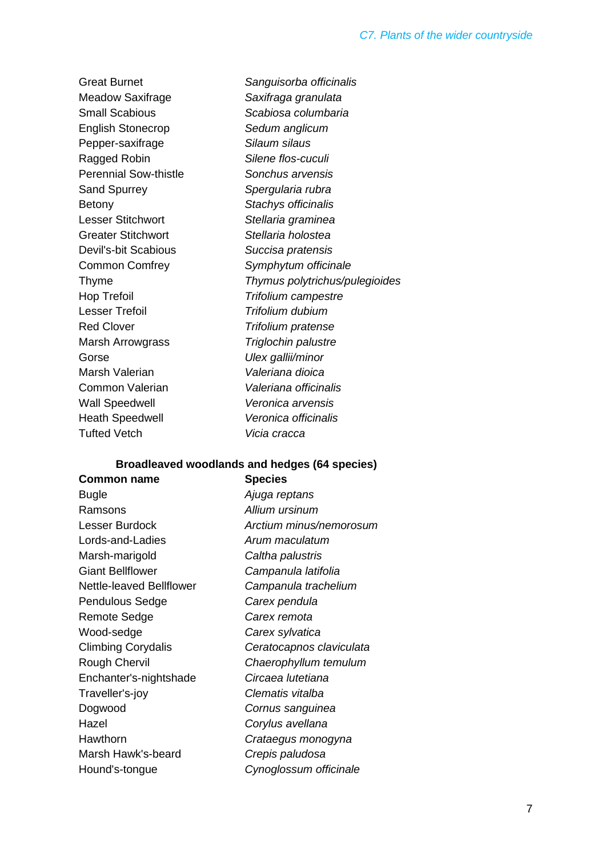Great Burnet *Sanguisorba officinalis* Meadow Saxifrage *Saxifraga granulata* Small Scabious *Scabiosa columbaria* English Stonecrop *Sedum anglicum* Pepper-saxifrage *Silaum silaus* Ragged Robin *Silene flos-cuculi* Perennial Sow-thistle *Sonchus arvensis* Sand Spurrey *Spergularia rubra* Betony *Stachys officinalis* Lesser Stitchwort *Stellaria graminea* Greater Stitchwort *Stellaria holostea* Devil's-bit Scabious *Succisa pratensis* Common Comfrey *Symphytum officinale* Thyme *Thymus polytrichus/pulegioides* Hop Trefoil *Trifolium campestre* Lesser Trefoil *Trifolium dubium* Red Clover *Trifolium pratense* Marsh Arrowgrass *Triglochin palustre* Gorse *Ulex gallii/minor* Marsh Valerian *Valeriana dioica* Common Valerian *Valeriana officinalis* Wall Speedwell *Veronica arvensis* Heath Speedwell *Veronica officinalis* Tufted Vetch *Vicia cracca*

#### **Broadleaved woodlands and hedges (64 species)**

| <b>Common name</b>        | <b>Species</b>           |
|---------------------------|--------------------------|
| Bugle                     | Ajuga reptans            |
| Ramsons                   | Allium ursinum           |
| Lesser Burdock            | Arctium minus/nemorosum  |
| Lords-and-Ladies          | Arum maculatum           |
| Marsh-marigold            | Caltha palustris         |
| <b>Giant Bellflower</b>   | Campanula latifolia      |
| Nettle-leaved Bellflower  | Campanula trachelium     |
| <b>Pendulous Sedge</b>    | Carex pendula            |
| <b>Remote Sedge</b>       | Carex remota             |
| Wood-sedge                | Carex sylvatica          |
| <b>Climbing Corydalis</b> | Ceratocapnos claviculata |
| Rough Chervil             | Chaerophyllum temulum    |
| Enchanter's-nightshade    | Circaea Iutetiana        |
| Traveller's-joy           | Clematis vitalba         |
| Dogwood                   | Cornus sanguinea         |
| Hazel                     | Corylus avellana         |
| Hawthorn                  | Crataegus monogyna       |
| Marsh Hawk's-beard        | Crepis paludosa          |
| Hound's-tongue            | Cynoglossum officinale   |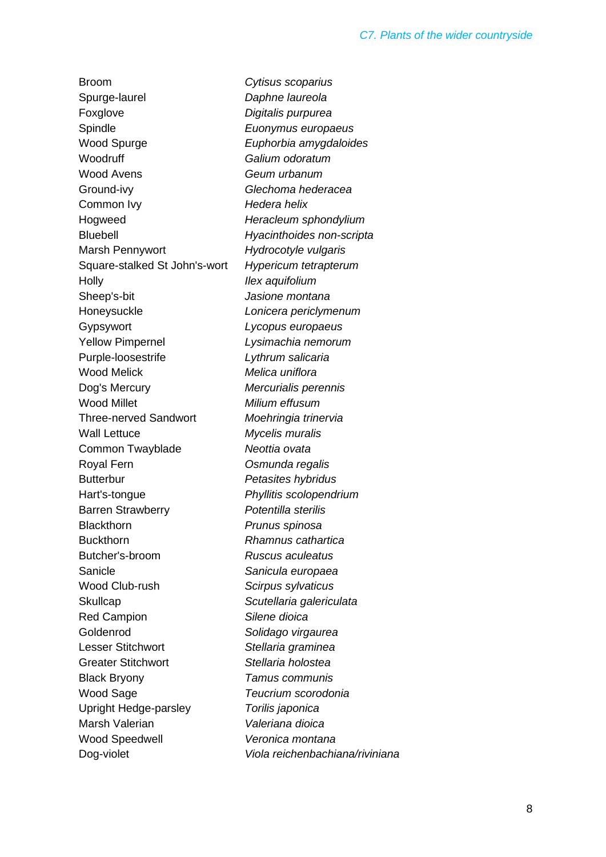Broom *Cytisus scoparius* Spurge-laurel *Daphne laureola* Foxglove *Digitalis purpurea* Spindle *Euonymus europaeus* Wood Spurge *Euphorbia amygdaloides* Woodruff *Galium odoratum* Wood Avens *Geum urbanum* Ground-ivy *Glechoma hederacea* Common Ivy *Hedera helix* Hogweed *Heracleum sphondylium* Bluebell *Hyacinthoides non-scripta* Marsh Pennywort *Hydrocotyle vulgaris* Square-stalked St John's-wort *Hypericum tetrapterum* Holly *Ilex aquifolium* Sheep's-bit *Jasione montana* Honeysuckle *Lonicera periclymenum* Gypsywort *Lycopus europaeus* Yellow Pimpernel *Lysimachia nemorum* Purple-loosestrife *Lythrum salicaria* Wood Melick *Melica uniflora* Dog's Mercury *Mercurialis perennis* Wood Millet *Milium effusum* Three-nerved Sandwort *Moehringia trinervia* Wall Lettuce *Mycelis muralis* Common Twayblade *Neottia ovata* Royal Fern *Osmunda regalis* Butterbur *Petasites hybridus* Hart's-tongue *Phyllitis scolopendrium* Barren Strawberry *Potentilla sterilis* Blackthorn *Prunus spinosa* Buckthorn *Rhamnus cathartica* Butcher's-broom *Ruscus aculeatus* Sanicle *Sanicula europaea* Wood Club-rush *Scirpus sylvaticus* Skullcap *Scutellaria galericulata* Red Campion *Silene dioica* Goldenrod *Solidago virgaurea* Lesser Stitchwort *Stellaria graminea* Greater Stitchwort *Stellaria holostea* Black Bryony *Tamus communis* Wood Sage *Teucrium scorodonia* Upright Hedge-parsley *Torilis japonica* Marsh Valerian *Valeriana dioica* Wood Speedwell *Veronica montana*

Dog-violet *Viola reichenbachiana/riviniana*